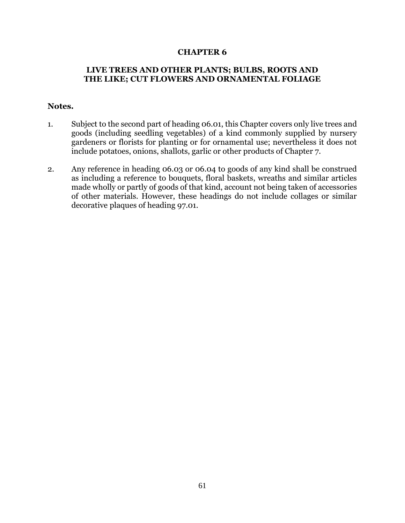## **CHAPTER 6**

## **LIVE TREES AND OTHER PLANTS; BULBS, ROOTS AND THE LIKE; CUT FLOWERS AND ORNAMENTAL FOLIAGE**

## **Notes.**

- 1. Subject to the second part of heading 06.01, this Chapter covers only live trees and goods (including seedling vegetables) of a kind commonly supplied by nursery gardeners or florists for planting or for ornamental use; nevertheless it does not include potatoes, onions, shallots, garlic or other products of Chapter 7.
- 2. Any reference in heading 06.03 or 06.04 to goods of any kind shall be construed as including a reference to bouquets, floral baskets, wreaths and similar articles made wholly or partly of goods of that kind, account not being taken of accessories of other materials. However, these headings do not include collages or similar decorative plaques of heading 97.01.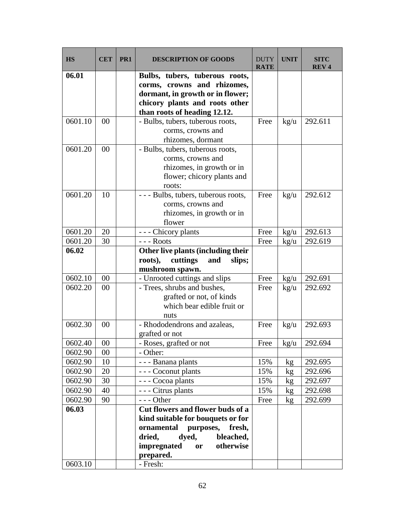| <b>HS</b> | <b>CET</b> | PR <sub>1</sub> | <b>DESCRIPTION OF GOODS</b>                                                                                                                                                         | <b>DUTY</b><br><b>RATE</b> | <b>UNIT</b>     | <b>SITC</b><br><b>REV4</b> |
|-----------|------------|-----------------|-------------------------------------------------------------------------------------------------------------------------------------------------------------------------------------|----------------------------|-----------------|----------------------------|
| 06.01     |            |                 | Bulbs, tubers, tuberous roots,<br>corms, crowns and rhizomes,<br>dormant, in growth or in flower;<br>chicory plants and roots other<br>than roots of heading 12.12.                 |                            |                 |                            |
| 0601.10   | 00         |                 | - Bulbs, tubers, tuberous roots,<br>corms, crowns and<br>rhizomes, dormant                                                                                                          | Free                       | $\text{kg/u}$   | 292.611                    |
| 0601.20   | 00         |                 | - Bulbs, tubers, tuberous roots,<br>corms, crowns and<br>rhizomes, in growth or in<br>flower; chicory plants and<br>roots:                                                          |                            |                 |                            |
| 0601.20   | 10         |                 | --- Bulbs, tubers, tuberous roots,<br>corms, crowns and<br>rhizomes, in growth or in<br>flower                                                                                      | Free                       | $\text{kg/u}$   | 292.612                    |
| 0601.20   | 20         |                 | - - - Chicory plants                                                                                                                                                                | Free                       | $\text{kg/u}$   | 292.613                    |
| 0601.20   | 30         |                 | $--$ Roots                                                                                                                                                                          | Free                       | kg/u            | 292.619                    |
| 06.02     |            |                 | Other live plants (including their<br>roots),<br>cuttings<br>and<br>slips;<br>mushroom spawn.                                                                                       |                            |                 |                            |
| 0602.10   | 00         |                 | - Unrooted cuttings and slips                                                                                                                                                       | Free                       | $\frac{kg}{u}$  | 292.691                    |
| 0602.20   | 00         |                 | - Trees, shrubs and bushes,<br>grafted or not, of kinds<br>which bear edible fruit or<br>nuts                                                                                       | Free                       | $\text{kg/u}$   | 292.692                    |
| 0602.30   | 00         |                 | - Rhododendrons and azaleas,<br>grafted or not                                                                                                                                      | Free                       | $\text{kg/u}$   | 292.693                    |
| 0602.40   | $00\,$     |                 | - Roses, grafted or not                                                                                                                                                             | Free                       | kg/u            | 292.694                    |
| 0602.90   | 00         |                 | - Other:                                                                                                                                                                            |                            |                 |                            |
| 0602.90   | 10         |                 | - - - Banana plants                                                                                                                                                                 | 15%                        | kg <sub>2</sub> | 292.695                    |
| 0602.90   | 20         |                 | - - - Coconut plants                                                                                                                                                                | 15%                        | kg              | 292.696                    |
| 0602.90   | 30         |                 | - - - Cocoa plants                                                                                                                                                                  | 15%                        | kg              | 292.697                    |
| 0602.90   | 40         |                 | - - - Citrus plants                                                                                                                                                                 | 15%                        | kg              | 292.698                    |
| 0602.90   | 90         |                 | $--$ Other                                                                                                                                                                          | Free                       | kg              | 292.699                    |
| 06.03     |            |                 | Cut flowers and flower buds of a<br>kind suitable for bouquets or for<br>ornamental purposes,<br>fresh,<br>dyed,<br>bleached,<br>dried,<br>impregnated or<br>otherwise<br>prepared. |                            |                 |                            |
| 0603.10   |            |                 | - Fresh:                                                                                                                                                                            |                            |                 |                            |